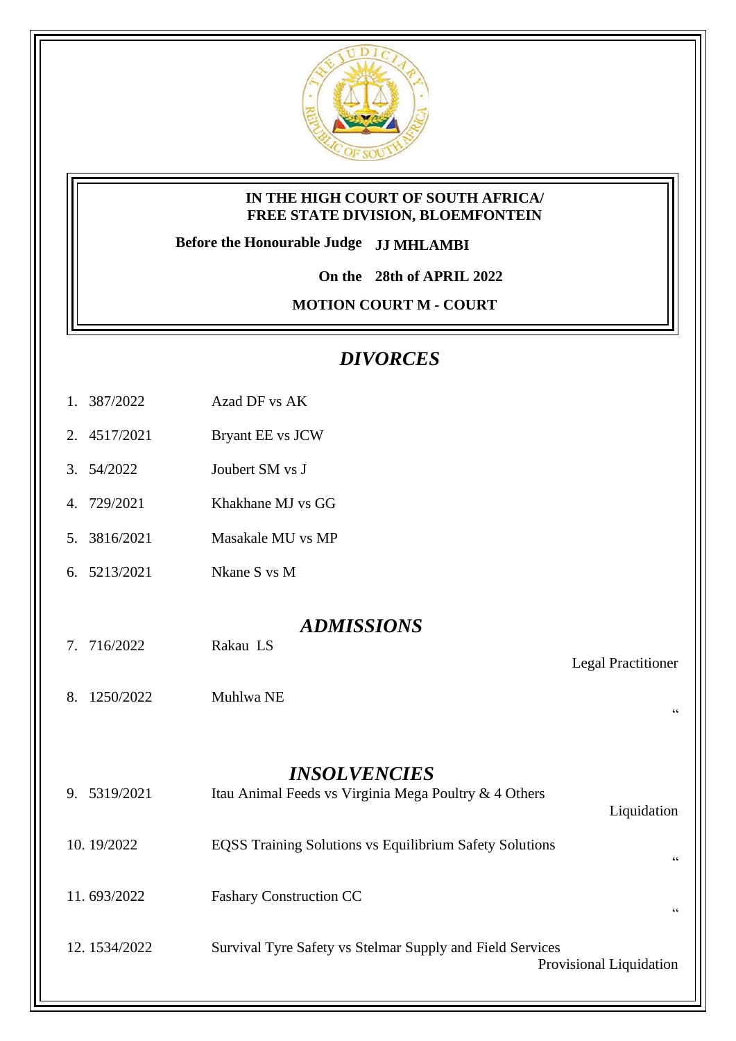

#### **IN THE HIGH COURT OF SOUTH AFRICA/ FREE STATE DIVISION, BLOEMFONTEIN**

**Before the Honourable Judge JJ MHLAMBI**

**On the 28th of APRIL 2022**

**MOTION COURT M - COURT** 

## *DIVORCES*

- 1. 387/2022 Azad DF vs AK
- 2. 4517/2021 Bryant EE vs JCW
- 3. 54/2022 Joubert SM vs J
- 4. 729/2021 Khakhane MJ vs GG
- 5. 3816/2021 Masakale MU vs MP
- 6. 5213/2021 Nkane S vs M

### *ADMISSIONS*

Legal Practitioner

"

- 7. 716/2022 Rakau LS
- 8. 1250/2022 Muhlwa NE

### *INSOLVENCIES*

| 9. 5319/2021 | Itau Animal Feeds vs Virginia Mega Poultry & 4 Others          | Liquidation             |
|--------------|----------------------------------------------------------------|-------------------------|
| 10.19/2022   | <b>EQSS Training Solutions vs Equilibrium Safety Solutions</b> | 66                      |
| 11.693/2022  | <b>Fashary Construction CC</b>                                 | 66                      |
| 12.1534/2022 | Survival Tyre Safety vs Stelmar Supply and Field Services      | Provisional Liquidation |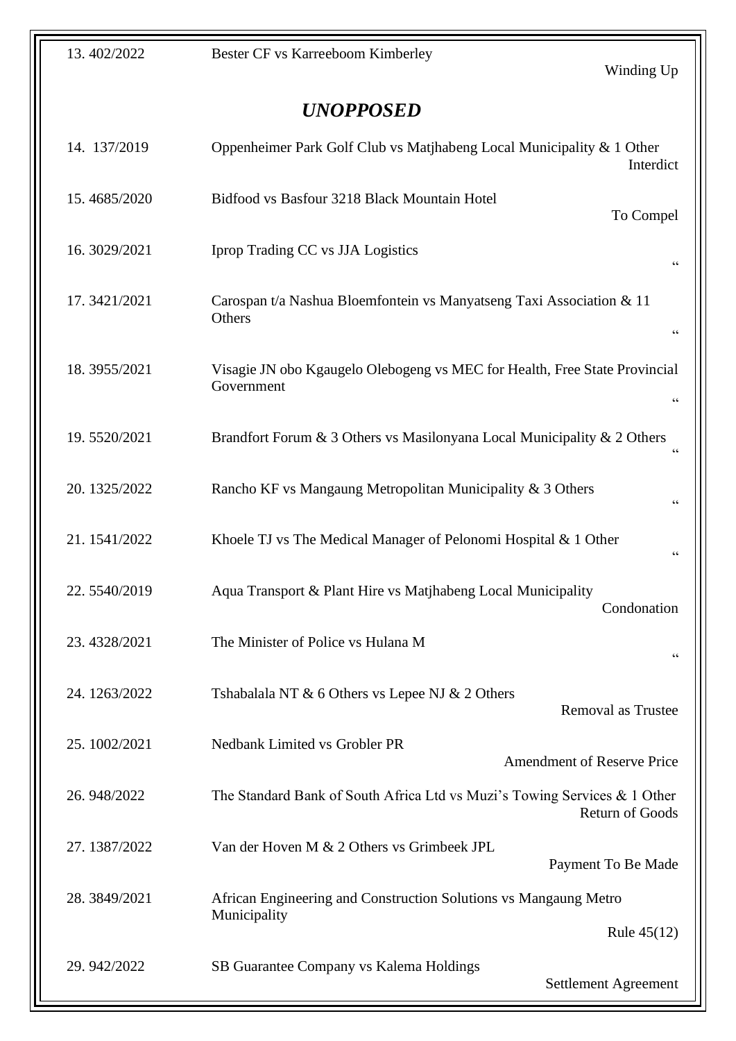# *UNOPPOSED*

| 14. 137/2019  | Oppenheimer Park Golf Club vs Matjhabeng Local Municipality & 1 Other<br>Interdict                          |
|---------------|-------------------------------------------------------------------------------------------------------------|
| 15.4685/2020  | Bidfood vs Basfour 3218 Black Mountain Hotel<br>To Compel                                                   |
| 16.3029/2021  | Iprop Trading CC vs JJA Logistics<br>$\zeta$ $\zeta$                                                        |
| 17.3421/2021  | Carospan t/a Nashua Bloemfontein vs Manyatseng Taxi Association & 11<br>Others<br>66                        |
| 18.3955/2021  | Visagie JN obo Kgaugelo Olebogeng vs MEC for Health, Free State Provincial<br>Government<br>$\zeta$ $\zeta$ |
| 19.5520/2021  | Brandfort Forum & 3 Others vs Masilonyana Local Municipality & 2 Others<br>66                               |
| 20. 1325/2022 | Rancho KF vs Mangaung Metropolitan Municipality & 3 Others<br>66                                            |
| 21.1541/2022  | Khoele TJ vs The Medical Manager of Pelonomi Hospital & 1 Other<br>$\zeta \zeta$                            |
| 22.5540/2019  | Aqua Transport & Plant Hire vs Matjhabeng Local Municipality<br>Condonation                                 |
| 23.4328/2021  | The Minister of Police vs Hulana M<br>66                                                                    |
| 24.1263/2022  | Tshabalala NT & 6 Others vs Lepee NJ & 2 Others<br>Removal as Trustee                                       |
| 25.1002/2021  | <b>Nedbank Limited vs Grobler PR</b><br><b>Amendment of Reserve Price</b>                                   |
| 26.948/2022   | The Standard Bank of South Africa Ltd vs Muzi's Towing Services & 1 Other<br><b>Return of Goods</b>         |
| 27.1387/2022  | Van der Hoven M & 2 Others vs Grimbeek JPL<br>Payment To Be Made                                            |
| 28.3849/2021  | African Engineering and Construction Solutions vs Mangaung Metro<br>Municipality<br>Rule $45(12)$           |
| 29.942/2022   | SB Guarantee Company vs Kalema Holdings<br>Settlement Agreement                                             |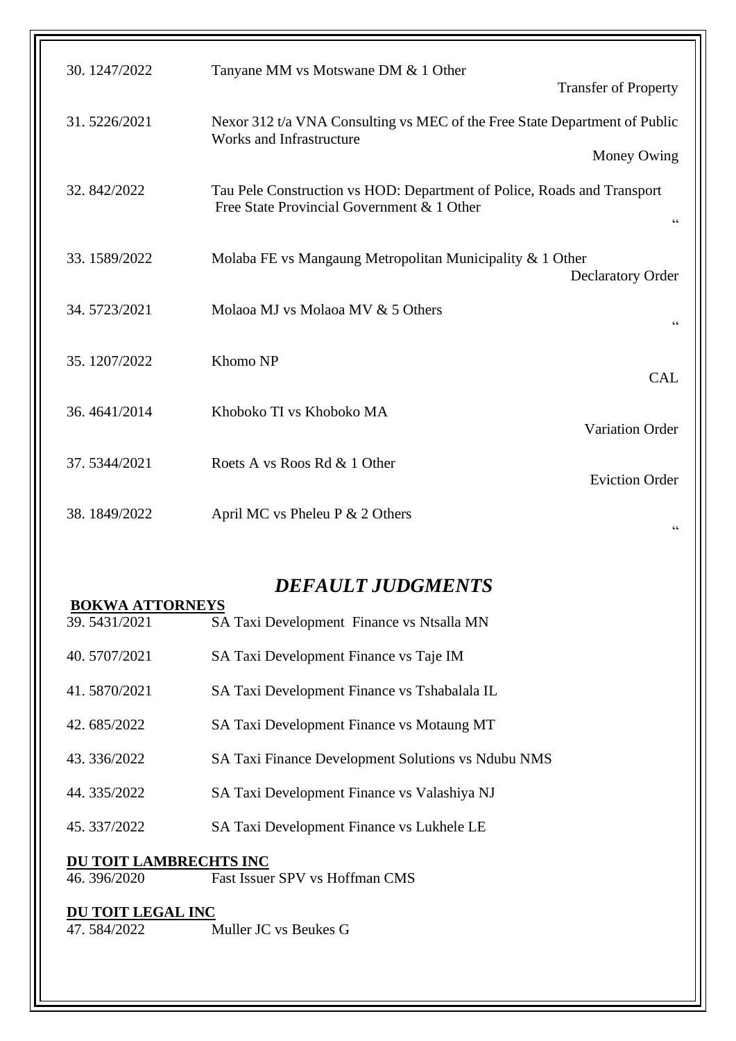| 30.1247/2022 | Tanyane MM vs Motswane DM & 1 Other                                                                                   |                             |
|--------------|-----------------------------------------------------------------------------------------------------------------------|-----------------------------|
|              |                                                                                                                       | <b>Transfer of Property</b> |
| 31.5226/2021 | Nexor 312 t/a VNA Consulting vs MEC of the Free State Department of Public<br><b>Works and Infrastructure</b>         |                             |
|              |                                                                                                                       | Money Owing                 |
| 32.842/2022  | Tau Pele Construction vs HOD: Department of Police, Roads and Transport<br>Free State Provincial Government & 1 Other | $\zeta \, \zeta$            |
| 33.1589/2022 | Molaba FE vs Mangaung Metropolitan Municipality & 1 Other                                                             | <b>Declaratory Order</b>    |
| 34.5723/2021 | Molaoa MJ vs Molaoa MV & 5 Others                                                                                     | 66                          |
| 35.1207/2022 | Khomo NP                                                                                                              | <b>CAL</b>                  |
| 36.4641/2014 | Khoboko TI vs Khoboko MA                                                                                              | Variation Order             |
| 37.5344/2021 | Roets A vs Roos Rd & 1 Other                                                                                          | <b>Eviction Order</b>       |
| 38.1849/2022 | April MC vs Pheleu P $& 2$ Others                                                                                     | 66                          |

## *DEFAULT JUDGMENTS*

|                        | <b>BOKWA ATTORNEYS</b><br>39.5431/2021 | SA Taxi Development Finance vs Ntsalla MN          |
|------------------------|----------------------------------------|----------------------------------------------------|
|                        |                                        |                                                    |
|                        | 40.5707/2021                           | SA Taxi Development Finance vs Taje IM             |
|                        | 41.5870/2021                           | SA Taxi Development Finance vs Tshabalala IL       |
|                        | 42.685/2022                            | SA Taxi Development Finance vs Motaung MT          |
|                        | 43.336/2022                            | SA Taxi Finance Development Solutions vs Ndubu NMS |
|                        | 44.335/2022                            | SA Taxi Development Finance vs Valashiya NJ        |
|                        | 45.337/2022                            | SA Taxi Development Finance vs Lukhele LE          |
| DU TOIT LAMBRECHTS INC |                                        |                                                    |
|                        | 46.396/2020                            | Fast Issuer SPV vs Hoffman CMS                     |
| DU TOIT LEGAL INC      |                                        |                                                    |
|                        | 47.584/2022                            | Muller JC vs Beukes G                              |
|                        |                                        |                                                    |
|                        |                                        |                                                    |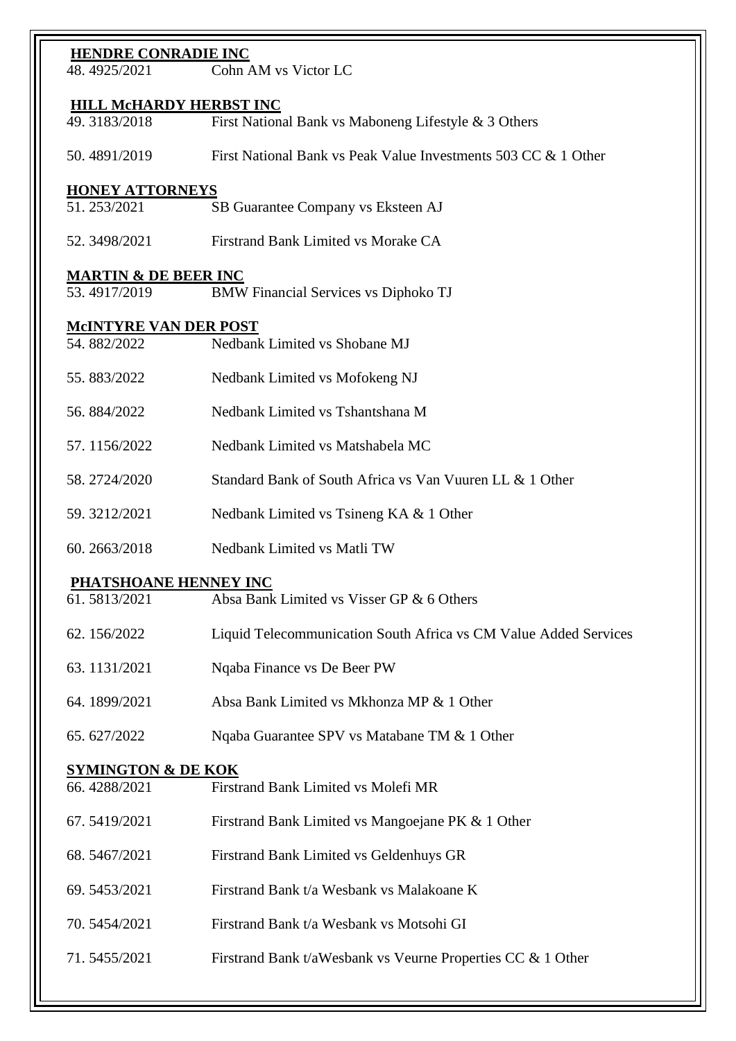| <b>HENDRE CONRADIE INC</b>      |                                                                  |  |
|---------------------------------|------------------------------------------------------------------|--|
| 48.4925/2021                    | Cohn AM vs Victor LC                                             |  |
| <b>HILL MCHARDY HERBST INC</b>  |                                                                  |  |
| 49.3183/2018                    | First National Bank vs Maboneng Lifestyle & 3 Others             |  |
| 50.4891/2019                    | First National Bank vs Peak Value Investments 503 CC & 1 Other   |  |
| <b>HONEY ATTORNEYS</b>          |                                                                  |  |
| 51.253/2021                     | SB Guarantee Company vs Eksteen AJ                               |  |
| 52.3498/2021                    | Firstrand Bank Limited vs Morake CA                              |  |
| <b>MARTIN &amp; DE BEER INC</b> |                                                                  |  |
| 53.4917/2019                    | <b>BMW Financial Services vs Diphoko TJ</b>                      |  |
| <b>MCINTYRE VAN DER POST</b>    |                                                                  |  |
| 54.882/2022                     | Nedbank Limited vs Shobane MJ                                    |  |
| 55.883/2022                     | Nedbank Limited vs Mofokeng NJ                                   |  |
| 56.884/2022                     | Nedbank Limited vs Tshantshana M                                 |  |
| 57.1156/2022                    | Nedbank Limited vs Matshabela MC                                 |  |
| 58.2724/2020                    | Standard Bank of South Africa vs Van Vuuren LL & 1 Other         |  |
| 59.3212/2021                    | Nedbank Limited vs Tsineng KA & 1 Other                          |  |
| 60.2663/2018                    | Nedbank Limited vs Matli TW                                      |  |
| PHATSHOANE HENNEY INC           |                                                                  |  |
| 61.5813/2021                    | Absa Bank Limited vs Visser GP & 6 Others                        |  |
| 62.156/2022                     | Liquid Telecommunication South Africa vs CM Value Added Services |  |
| 63.1131/2021                    | Nqaba Finance vs De Beer PW                                      |  |
| 64.1899/2021                    | Absa Bank Limited vs Mkhonza MP & 1 Other                        |  |
| 65.627/2022                     | Nqaba Guarantee SPV vs Matabane TM & 1 Other                     |  |
| <b>SYMINGTON &amp; DE KOK</b>   |                                                                  |  |
| 66.4288/2021                    | Firstrand Bank Limited vs Molefi MR                              |  |
| 67.5419/2021                    | Firstrand Bank Limited vs Mangoejane PK & 1 Other                |  |
| 68.5467/2021                    | Firstrand Bank Limited vs Geldenhuys GR                          |  |
| 69.5453/2021                    | Firstrand Bank t/a Wesbank vs Malakoane K                        |  |
| 70.5454/2021                    | Firstrand Bank t/a Wesbank vs Motsohi GI                         |  |
| 71.5455/2021                    | Firstrand Bank t/aWesbank vs Veurne Properties CC & 1 Other      |  |
|                                 |                                                                  |  |